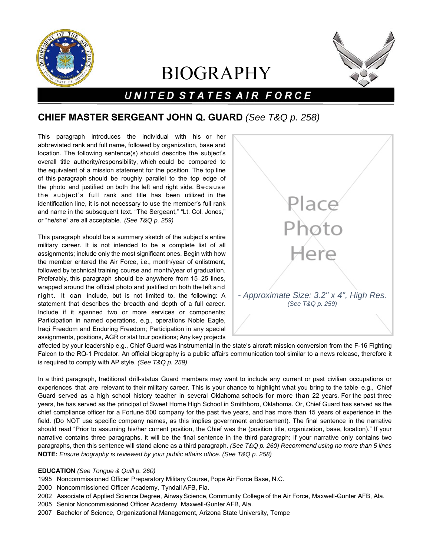

# BIOGRAPHY



## UNITED STATES AIR FORCE

### **CHIEF MASTER SERGEANT JOHN Q. GUARD** *(See T&Q p. 258)*

This paragraph introduces the individual with his or her abbreviated rank and full name, followed by organization, base and location. The following sentence(s) should describe the subject's overall title authority/responsibility, which could be compared to the equivalent of a mission statement for the position. The top line of this paragraph should be roughly parallel to the top edge of the photo and justified on both the left and right side. Because the subject's full rank and title has been utilized in the identification line, it is not necessary to use the member's full rank and name in the subsequent text. "The Sergeant," "Lt. Col. Jones," or "he/she" are all acceptable. *(See T&Q p. 259)*

This paragraph should be a summary sketch of the subject's entire military career. It is not intended to be a complete list of all assignments; include only the most significant ones. Begin with how the member entered the Air Force, i.e., month/year of enlistment, followed by technical training course and month/year of graduation. Preferably, this paragraph should be anywhere from 15–25 lines, wrapped around the official photo and justified on both the left and right. It can include, but is not limited to, the following: A statement that describes the breadth and depth of a full career. Include if it spanned two or more services or components; Participation in named operations, e.g., operations Noble Eagle, Iraqi Freedom and Enduring Freedom; Participation in any special assignments, positions, AGR or stat tour positions; Any key projects



affected by your leadership e.g., Chief Guard was instrumental in the state's aircraft mission conversion from the F-16 Fighting Falcon to the RQ-1 Predator. An official biography is a public affairs communication tool similar to a news release, therefore it is required to comply with AP style. *(See T&Q p. 259)*

In a third paragraph, traditional drill-status Guard members may want to include any current or past civilian occupations or experiences that are relevant to their military career. This is your chance to highlight what you bring to the table e.g., Chief Guard served as a high school history teacher in several Oklahoma schools for more than 22 years. For the past three years, he has served as the principal of Sweet Home High School in Smithboro, Oklahoma. Or, Chief Guard has served as the chief compliance officer for a Fortune 500 company for the past five years, and has more than 15 years of experience in the field. (Do NOT use specific company names, as this implies government endorsement). The final sentence in the narrative should read "Prior to assuming his/her current position, the Chief was the (position title, organization, base, location)." If your narrative contains three paragraphs, it will be the final sentence in the third paragraph; if your narrative only contains two paragraphs, then this sentence will stand alone as a third paragraph. *(See T&Q p. 260) Recommend using no more than 5 lines* **NOTE:** *Ensure biography is reviewed by your public affairs office. (See T&Q p. 258)*

#### **EDUCATION** *(See Tongue & Quill p. 260)*

- 1995 Noncommissioned Officer Preparatory Military Course, Pope Air Force Base, N.C.
- 2000 Noncommissioned Officer Academy, Tyndall AFB, Fla.
- 2002 Associate of Applied Science Degree, Airway Science, Community College of the Air Force, Maxwell-Gunter AFB, Ala.
- 2005 Senior Noncommissioned Officer Academy, Maxwell-Gunter AFB, Ala.
- 2007 Bachelor of Science, Organizational Management, Arizona State University, Tempe